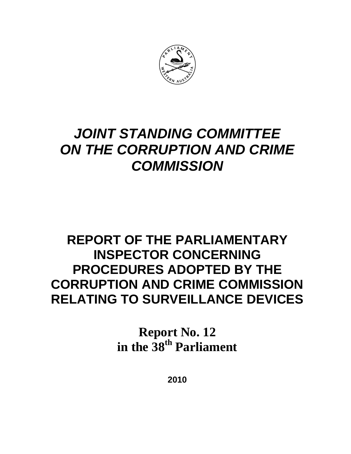

# *JOINT STANDING COMMITTEE ON THE CORRUPTION AND CRIME COMMISSION*

# **REPORT OF THE PARLIAMENTARY INSPECTOR CONCERNING PROCEDURES ADOPTED BY THE CORRUPTION AND CRIME COMMISSION RELATING TO SURVEILLANCE DEVICES**

**Report No. 12**  in the 38<sup>th</sup> Parliament

**2010**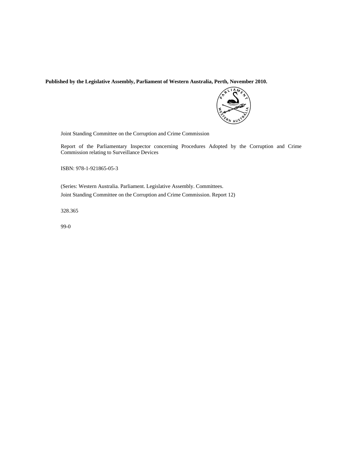**Published by the Legislative Assembly, Parliament of Western Australia, Perth, November 2010.** 



Joint Standing Committee on the Corruption and Crime Commission

Report of the Parliamentary Inspector concerning Procedures Adopted by the Corruption and Crime Commission relating to Surveillance Devices

ISBN: 978-1-921865-05-3

(Series: Western Australia. Parliament. Legislative Assembly. Committees. Joint Standing Committee on the Corruption and Crime Commission. Report 12)

328.365

99-0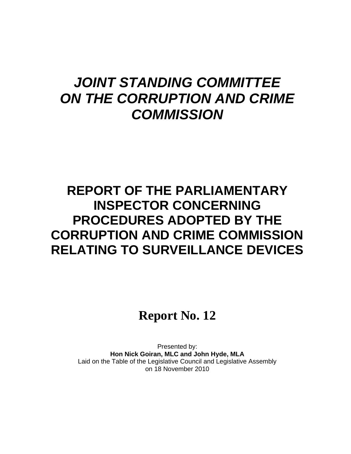# *JOINT STANDING COMMITTEE ON THE CORRUPTION AND CRIME COMMISSION*

# **REPORT OF THE PARLIAMENTARY INSPECTOR CONCERNING PROCEDURES ADOPTED BY THE CORRUPTION AND CRIME COMMISSION RELATING TO SURVEILLANCE DEVICES**

# **Report No. 12**

Presented by: **Hon Nick Goiran, MLC and John Hyde, MLA**  Laid on the Table of the Legislative Council and Legislative Assembly on 18 November 2010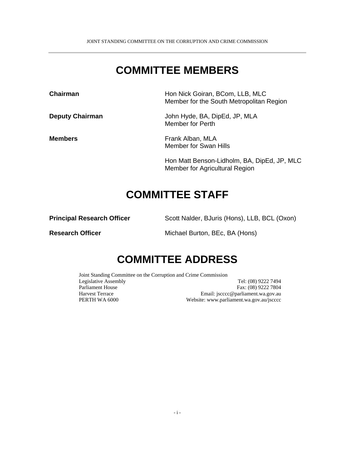## **COMMITTEE MEMBERS**

**Chairman Chairman Hon Nick Goiran, BCom, LLB, MLC** Member for the South Metropolitan Region **Deputy Chairman** John Hyde, BA, DipEd, JP, MLA Member for Perth **Members Frank Alban, MLA** Member for Swan Hills

> Hon Matt Benson-Lidholm, BA, DipEd, JP, MLC Member for Agricultural Region

### **COMMITTEE STAFF**

**Principal Research Officer** Scott Nalder, BJuris (Hons), LLB, BCL (Oxon)

**Research Officer Michael Burton, BEc, BA (Hons)** 

## **COMMITTEE ADDRESS**

Joint Standing Committee on the Corruption and Crime Commission Legislative Assembly Tel: (08) 9222 7494 Parliament House Fax: (08) 9222 7804 Harvest Terrace Email: jscccc@parliament.wa.gov.au PERTH WA 6000 Website: www.parliament.wa.gov.au/jscccc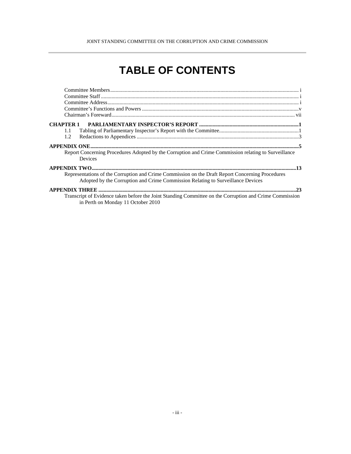#### JOINT STANDING COMMITTEE ON THE CORRUPTION AND CRIME COMMISSION

# **TABLE OF CONTENTS**

| 1.1                                                                                                                                                                                 |
|-------------------------------------------------------------------------------------------------------------------------------------------------------------------------------------|
| 1.2                                                                                                                                                                                 |
|                                                                                                                                                                                     |
| Report Concerning Procedures Adopted by the Corruption and Crime Commission relating to Surveillance<br>Devices                                                                     |
|                                                                                                                                                                                     |
| Representations of the Corruption and Crime Commission on the Draft Report Concerning Procedures<br>Adopted by the Corruption and Crime Commission Relating to Surveillance Devices |
|                                                                                                                                                                                     |
| Transcript of Evidence taken before the Joint Standing Committee on the Corruption and Crime Commission<br>in Perth on Monday 11 October 2010                                       |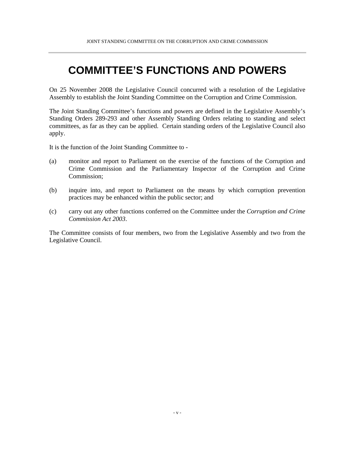## **COMMITTEE'S FUNCTIONS AND POWERS**

On 25 November 2008 the Legislative Council concurred with a resolution of the Legislative Assembly to establish the Joint Standing Committee on the Corruption and Crime Commission.

The Joint Standing Committee's functions and powers are defined in the Legislative Assembly's Standing Orders 289-293 and other Assembly Standing Orders relating to standing and select committees, as far as they can be applied. Certain standing orders of the Legislative Council also apply.

It is the function of the Joint Standing Committee to -

- (a) monitor and report to Parliament on the exercise of the functions of the Corruption and Crime Commission and the Parliamentary Inspector of the Corruption and Crime Commission;
- (b) inquire into, and report to Parliament on the means by which corruption prevention practices may be enhanced within the public sector; and
- (c) carry out any other functions conferred on the Committee under the *Corruption and Crime Commission Act 2003*.

The Committee consists of four members, two from the Legislative Assembly and two from the Legislative Council.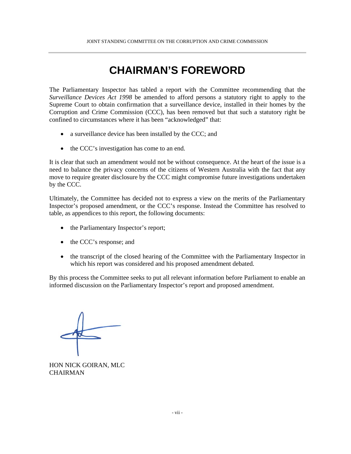## **CHAIRMAN'S FOREWORD**

The Parliamentary Inspector has tabled a report with the Committee recommending that the *Surveillance Devices Act 1998* be amended to afford persons a statutory right to apply to the Supreme Court to obtain confirmation that a surveillance device, installed in their homes by the Corruption and Crime Commission (CCC), has been removed but that such a statutory right be confined to circumstances where it has been "acknowledged" that:

- a surveillance device has been installed by the CCC; and
- the CCC's investigation has come to an end.

It is clear that such an amendment would not be without consequence. At the heart of the issue is a need to balance the privacy concerns of the citizens of Western Australia with the fact that any move to require greater disclosure by the CCC might compromise future investigations undertaken by the CCC.

Ultimately, the Committee has decided not to express a view on the merits of the Parliamentary Inspector's proposed amendment, or the CCC's response. Instead the Committee has resolved to table, as appendices to this report, the following documents:

- the Parliamentary Inspector's report;
- the CCC's response; and
- the transcript of the closed hearing of the Committee with the Parliamentary Inspector in which his report was considered and his proposed amendment debated.

By this process the Committee seeks to put all relevant information before Parliament to enable an informed discussion on the Parliamentary Inspector's report and proposed amendment.

HON NICK GOIRAN, MLC **CHAIRMAN**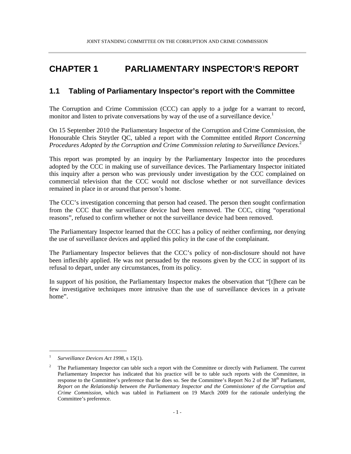### **CHAPTER 1 PARLIAMENTARY INSPECTOR'S REPORT**

### **1.1 Tabling of Parliamentary Inspector's report with the Committee**

The Corruption and Crime Commission (CCC) can apply to a judge for a warrant to record, monitor and listen to private conversations by way of the use of a surveillance device.<sup>1</sup>

On 15 September 2010 the Parliamentary Inspector of the Corruption and Crime Commission, the Honourable Chris Steytler QC, tabled a report with the Committee entitled *Report Concerning Procedures Adopted by the Corruption and Crime Commission relating to Surveillance Devices*. 2

This report was prompted by an inquiry by the Parliamentary Inspector into the procedures adopted by the CCC in making use of surveillance devices. The Parliamentary Inspector initiated this inquiry after a person who was previously under investigation by the CCC complained on commercial television that the CCC would not disclose whether or not surveillance devices remained in place in or around that person's home.

The CCC's investigation concerning that person had ceased. The person then sought confirmation from the CCC that the surveillance device had been removed. The CCC, citing "operational reasons", refused to confirm whether or not the surveillance device had been removed.

The Parliamentary Inspector learned that the CCC has a policy of neither confirming, nor denying the use of surveillance devices and applied this policy in the case of the complainant.

The Parliamentary Inspector believes that the CCC's policy of non-disclosure should not have been inflexibly applied. He was not persuaded by the reasons given by the CCC in support of its refusal to depart, under any circumstances, from its policy.

In support of his position, the Parliamentary Inspector makes the observation that "[t]here can be few investigative techniques more intrusive than the use of surveillance devices in a private home".

l

<sup>1</sup> *Surveillance Devices Act 1998*, s 15(1).

<sup>2</sup> The Parliamentary Inspector can table such a report with the Committee or directly with Parliament. The current Parliamentary Inspector has indicated that his practice will be to table such reports with the Committee, in response to the Committee's preference that he does so. See the Committee's Report No 2 of the 38<sup>th</sup> Parliament, *Report on the Relationship between the Parliamentary Inspector and the Commissioner of the Corruption and Crime Commission,* which was tabled in Parliament on 19 March 2009 for the rationale underlying the Committee's preference.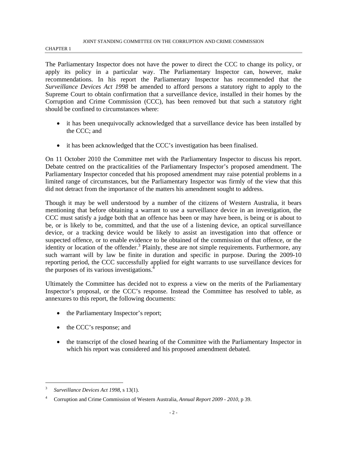#### JOINT STANDING COMMITTEE ON THE CORRUPTION AND CRIME COMMISSION

#### CHAPTER 1

The Parliamentary Inspector does not have the power to direct the CCC to change its policy, or apply its policy in a particular way. The Parliamentary Inspector can, however, make recommendations. In his report the Parliamentary Inspector has recommended that the *Surveillance Devices Act 1998* be amended to afford persons a statutory right to apply to the Supreme Court to obtain confirmation that a surveillance device, installed in their homes by the Corruption and Crime Commission (CCC), has been removed but that such a statutory right should be confined to circumstances where:

- it has been unequivocally acknowledged that a surveillance device has been installed by the CCC; and
- it has been acknowledged that the CCC's investigation has been finalised.

On 11 October 2010 the Committee met with the Parliamentary Inspector to discuss his report. Debate centred on the practicalities of the Parliamentary Inspector's proposed amendment. The Parliamentary Inspector conceded that his proposed amendment may raise potential problems in a limited range of circumstances, but the Parliamentary Inspector was firmly of the view that this did not detract from the importance of the matters his amendment sought to address.

Though it may be well understood by a number of the citizens of Western Australia, it bears mentioning that before obtaining a warrant to use a surveillance device in an investigation, the CCC must satisfy a judge both that an offence has been or may have been, is being or is about to be, or is likely to be, committed, and that the use of a listening device, an optical surveillance device, or a tracking device would be likely to assist an investigation into that offence or suspected offence, or to enable evidence to be obtained of the commission of that offence, or the identity or location of the offender.<sup>3</sup> Plainly, these are not simple requirements. Furthermore, any such warrant will by law be finite in duration and specific in purpose. During the 2009-10 reporting period, the CCC successfully applied for eight warrants to use surveillance devices for the purposes of its various investigations.<sup>4</sup>

Ultimately the Committee has decided not to express a view on the merits of the Parliamentary Inspector's proposal, or the CCC's response. Instead the Committee has resolved to table, as annexures to this report, the following documents:

- the Parliamentary Inspector's report;
- the CCC's response; and
- the transcript of the closed hearing of the Committee with the Parliamentary Inspector in which his report was considered and his proposed amendment debated.

 $\overline{a}$ 

<sup>3</sup> *Surveillance Devices Act 1998*, s 13(1).

<sup>4</sup> Corruption and Crime Commission of Western Australia, *Annual Report 2009 - 2010*, p 39.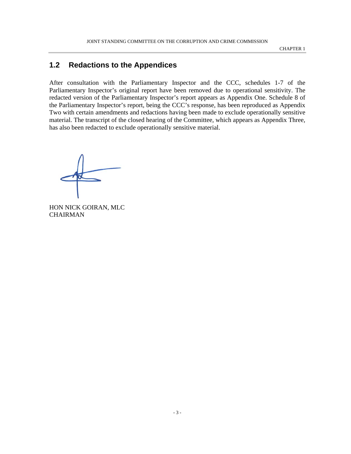CHAPTER 1

### **1.2 Redactions to the Appendices**

After consultation with the Parliamentary Inspector and the CCC, schedules 1-7 of the Parliamentary Inspector's original report have been removed due to operational sensitivity. The redacted version of the Parliamentary Inspector's report appears as Appendix One. Schedule 8 of the Parliamentary Inspector's report, being the CCC's response, has been reproduced as Appendix Two with certain amendments and redactions having been made to exclude operationally sensitive material. The transcript of the closed hearing of the Committee, which appears as Appendix Three, has also been redacted to exclude operationally sensitive material.

HON NICK GOIRAN, MLC CHAIRMAN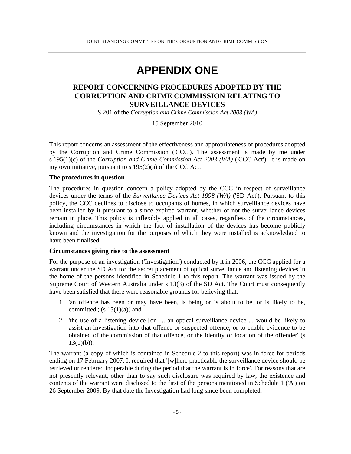### **APPENDIX ONE**

### **REPORT CONCERNING PROCEDURES ADOPTED BY THE CORRUPTION AND CRIME COMMISSION RELATING TO SURVEILLANCE DEVICES**

S 201 of the *Corruption and Crime Commission Act 2003 (WA)* 

15 September 2010

This report concerns an assessment of the effectiveness and appropriateness of procedures adopted by the Corruption and Crime Commission ('CCC'). The assessment is made by me under s 195(1)(c) of the *Corruption and Crime Commission Act 2003 (WA)* ('CCC Act'). It is made on my own initiative, pursuant to s 195(2)(a) of the CCC Act.

#### **The procedures in question**

The procedures in question concern a policy adopted by the CCC in respect of surveillance devices under the terms of the *Surveillance Devices Act 1998 (WA)* ('SD Act'). Pursuant to this policy, the CCC declines to disclose to occupants of homes, in which surveillance devices have been installed by it pursuant to a since expired warrant, whether or not the surveillance devices remain in place. This policy is inflexibly applied in all cases, regardless of the circumstances, including circumstances in which the fact of installation of the devices has become publicly known and the investigation for the purposes of which they were installed is acknowledged to have been finalised.

#### **Circumstances giving rise to the assessment**

For the purpose of an investigation ('Investigation') conducted by it in 2006, the CCC applied for a warrant under the SD Act for the secret placement of optical surveillance and listening devices in the home of the persons identified in Schedule 1 to this report. The warrant was issued by the Supreme Court of Western Australia under s 13(3) of the SD Act. The Court must consequently have been satisfied that there were reasonable grounds for believing that:

- 1. 'an offence has been or may have been, is being or is about to be, or is likely to be, committed';  $(s 13(1)(a))$  and
- 2. 'the use of a listening device [or] ... an optical surveillance device ... would be likely to assist an investigation into that offence or suspected offence, or to enable evidence to be obtained of the commission of that offence, or the identity or location of the offender' (s  $13(1)(b)$ ).

The warrant (a copy of which is contained in Schedule 2 to this report) was in force for periods ending on 17 February 2007. It required that '[w]here practicable the surveillance device should be retrieved or rendered inoperable during the period that the warrant is in force'. For reasons that are not presently relevant, other than to say such disclosure was required by law, the existence and contents of the warrant were disclosed to the first of the persons mentioned in Schedule 1 ('A') on 26 September 2009. By that date the Investigation had long since been completed.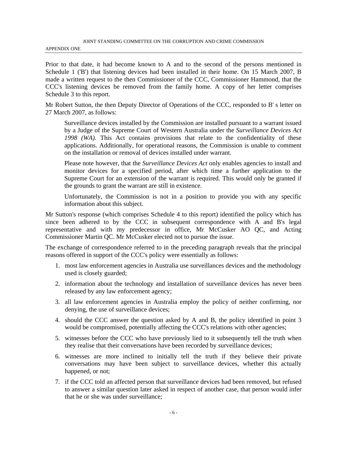APPENDIX ONE

Prior to that date, it had become known to A and to the second of the persons mentioned in Schedule 1 ('B') that listening devices had been installed in their home. On 15 March 2007, B made a written request to the then Commissioner of the CCC, Commissioner Hammond, that the CCC's listening devices be removed from the family home. A copy of her letter comprises Schedule 3 to this report.

Mr Robert Sutton, the then Deputy Director of Operations of the CCC, responded to B' s letter on 27 March 2007, as follows:

Surveillance devices installed by the Commission are installed pursuant to a warrant issued by a Judge of the Supreme Court of Western Australia under the *Surveillance Devices Act 1998 (WA).* This Act contains provisions that relate to the confidentiality of these applications. Additionally, for operational reasons, the Commission is unable to comment on the installation or removal of devices installed under warrant.

Please note however, that the *Surveillance Devices Act* only enables agencies to install and monitor devices for a specified period, after which time a further application to the Supreme Court for an extension of the warrant is required. This would only be granted if the grounds to grant the warrant are still in existence.

Unfortunately, the Commission is not in a position to provide you with any specific information about this subject.

Mr Sutton's response (which comprises Schedule 4 to this report) identified the policy which has since been adhered to by the CCC in subsequent correspondence with A and B's legal representative and with my predecessor in office, Mr McCusker AO QC, and Acting Commissioner Martin QC. Mr McCusker elected not to pursue the issue.

The exchange of correspondence referred to in the preceding paragraph reveals that the principal reasons offered in support of the CCC's policy were essentially as follows:

- 1. most law enforcement agencies in Australia use surveillances devices and the methodology used is closely guarded;
- 2. information about the technology and installation of surveillance devices has never been released by any law enforcement agency;
- 3. all law enforcement agencies in Australia employ the policy of neither confirming, nor denying, the use of surveillance devices;
- 4. should the CCC answer the question asked by A and B, the policy identified in point 3 would be compromised, potentially affecting the CCC's relations with other agencies;
- 5. witnesses before the CCC who have previously lied to it subsequently tell the truth when they realise that their conversations have been recorded by surveillance devices;
- 6. witnesses are more inclined to initially tell the truth if they believe their private conversations may have been subject to surveillance devices, whether this actually happened, or not;
- 7. if the CCC told an affected person that surveillance devices had been removed, but refused to answer a similar question later asked in respect of another case, that person would infer that he or she was under surveillance;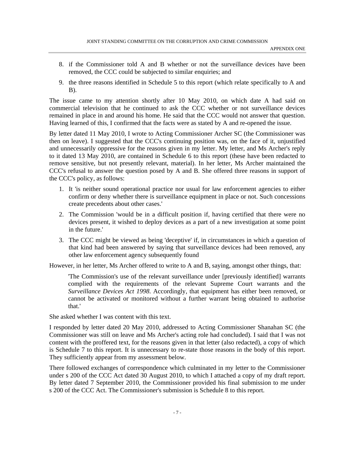- 8. if the Commissioner told A and B whether or not the surveillance devices have been removed, the CCC could be subjected to similar enquiries; and
- 9. the three reasons identified in Schedule 5 to this report (which relate specifically to A and B).

The issue came to my attention shortly after 10 May 2010, on which date A had said on commercial television that he continued to ask the CCC whether or not surveillance devices remained in place in and around his home. He said that the CCC would not answer that question. Having learned of this, I confirmed that the facts were as stated by A and re-opened the issue.

By letter dated 11 May 2010, I wrote to Acting Commissioner Archer SC (the Commissioner was then on leave). I suggested that the CCC's continuing position was, on the face of it, unjustified and unnecessarily oppressive for the reasons given in my letter. My letter, and Ms Archer's reply to it dated 13 May 2010, are contained in Schedule 6 to this report (these have been redacted to remove sensitive, but not presently relevant, material). In her letter, Ms Archer maintained the CCC's refusal to answer the question posed by A and B. She offered three reasons in support of the CCC's policy, as follows:

- 1. It 'is neither sound operational practice nor usual for law enforcement agencies to either confirm or deny whether there is surveillance equipment in place or not. Such concessions create precedents about other cases.'
- 2. The Commission 'would be in a difficult position if, having certified that there were no devices present, it wished to deploy devices as a part of a new investigation at some point in the future.'
- 3. The CCC might be viewed as being 'deceptive' if, in circumstances in which a question of that kind had been answered by saying that surveillance devices had been removed, any other law enforcement agency subsequently found

However, in her letter, Ms Archer offered to write to A and B, saying, amongst other things, that:

'The Commission's use of the relevant surveillance under [previously identified] warrants complied with the requirements of the relevant Supreme Court warrants and the *Surveillance Devices Act 1998*. Accordingly, that equipment has either been removed, or cannot be activated or monitored without a further warrant being obtained to authorise that.'

She asked whether I was content with this text.

I responded by letter dated 20 May 2010, addressed to Acting Commissioner Shanahan SC (the Commissioner was still on leave and Ms Archer's acting role had concluded). I said that I was not content with the proffered text, for the reasons given in that letter (also redacted), a copy of which is Schedule 7 to this report. It is unnecessary to re-state those reasons in the body of this report. They sufficiently appear from my assessment below.

There followed exchanges of correspondence which culminated in my letter to the Commissioner under s 200 of the CCC Act dated 30 August 2010, to which I attached a copy of my draft report. By letter dated 7 September 2010, the Commissioner provided his final submission to me under s 200 of the CCC Act. The Commissioner's submission is Schedule 8 to this report.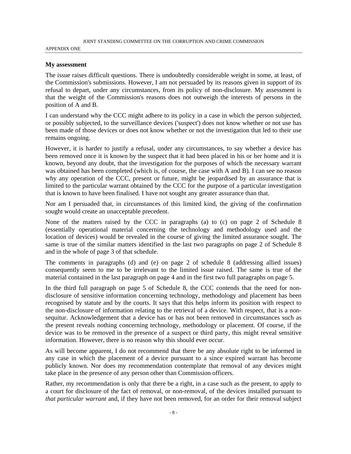#### APPENDIX ONE

#### **My assessment**

The issue raises difficult questions. There is undoubtedly considerable weight in some, at least, of the Commission's submissions. However, I am not persuaded by its reasons given in support of its refusal to depart, under any circumstances, from its policy of non-disclosure. My assessment is that the weight of the Commission's reasons does not outweigh the interests of persons in the position of A and B.

I can understand why the CCC might adhere to its policy in a case in which the person subjected, or possibly subjected, to the surveillance devices ('suspect') does not know whether or not use has been made of those devices or does not know whether or not the investigation that led to their use remains ongoing.

However, it is harder to justify a refusal, under any circumstances, to say whether a device has been removed once it is known by the suspect that it had been placed in his or her home and it is known, beyond any doubt, that the investigation for the purposes of which the necessary warrant was obtained has been completed (which is, of course, the case with A and B). I can see no reason why any operation of the CCC, present or future, might be jeopardised by an assurance that is limited to the particular warrant obtained by the CCC for the purpose of a particular investigation that is known to have been finalised. I have not sought any greater assurance than that.

Nor am I persuaded that, in circumstances of this limited kind, the giving of the confirmation sought would create an unacceptable precedent.

None of the matters raised by the CCC in paragraphs (a) to (c) on page 2 of Schedule 8 (essentially operational material concerning the technology and methodology used and the location of devices) would be revealed in the course of giving the limited assurance sought. The same is true of the similar matters identified in the last two paragraphs on page 2 of Schedule 8 and in the whole of page 3 of that schedule.

The comments in paragraphs (d) and (e) on page 2 of schedule 8 (addressing allied issues) consequently seem to me to be irrelevant to the limited issue raised. The same is true of the material contained in the last paragraph on page 4 and in the first two full paragraphs on page 5.

In the third full paragraph on page 5 of Schedule 8, the CCC contends that the need for nondisclosure of sensitive information concerning technology, methodology and placement has been recognised by statute and by the courts. It says that this helps inform its position with respect to the non-disclosure of information relating to the retrieval of a device. With respect, that is a nonsequitur. Acknowledgement that a device has or has not been removed in circumstances such as the present reveals nothing concerning technology, methodology or placement. Of course, if the device was to be removed in the presence of a suspect or third party, this might reveal sensitive information. However, there is no reason why this should ever occur.

As will become apparent, I do not recommend that there be any absolute right to be informed in any case in which the placement of a device pursuant to a since expired warrant has become publicly known. Nor does my recommendation contemplate that removal of any devices might take place in the presence of any person other than Commission officers.

Rather, my recommendation is only that there be a right, in a case such as the present, to apply to a court for disclosure of the fact of removal, or non-removal, of the devices installed pursuant to *that particular warrant* and, if they have not been removed, for an order for their removal subject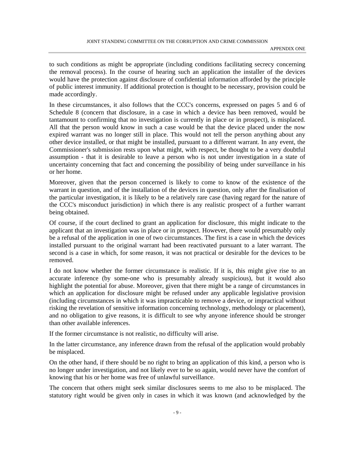to such conditions as might be appropriate (including conditions facilitating secrecy concerning the removal process). In the course of hearing such an application the installer of the devices would have the protection against disclosure of confidential information afforded by the principle of public interest immunity. If additional protection is thought to be necessary, provision could be made accordingly.

In these circumstances, it also follows that the CCC's concerns, expressed on pages 5 and 6 of Schedule 8 (concern that disclosure, in a case in which a device has been removed, would be tantamount to confirming that no investigation is currently in place or in prospect), is misplaced. All that the person would know in such a case would be that the device placed under the now expired warrant was no longer still in place. This would not tell the person anything about any other device installed, or that might be installed, pursuant to a different warrant. In any event, the Commissioner's submission rests upon what might, with respect, be thought to be a very doubtful assumption - that it is desirable to leave a person who is not under investigation in a state of uncertainty concerning that fact and concerning the possibility of being under surveillance in his or her home.

Moreover, given that the person concerned is likely to come to know of the existence of the warrant in question, and of the installation of the devices in question, only after the finalisation of the particular investigation, it is likely to be a relatively rare case (having regard for the nature of the CCC's misconduct jurisdiction) in which there is any realistic prospect of a further warrant being obtained.

Of course, if the court declined to grant an application for disclosure, this might indicate to the applicant that an investigation was in place or in prospect. However, there would presumably only be a refusal of the application in one of two circumstances. The first is a case in which the devices installed pursuant to the original warrant had been reactivated pursuant to a later warrant. The second is a case in which, for some reason, it was not practical or desirable for the devices to be removed.

I do not know whether the former circumstance is realistic. If it is, this might give rise to an accurate inference (by some-one who is presumably already suspicious), but it would also highlight the potential for abuse. Moreover, given that there might be a range of circumstances in which an application for disclosure might be refused under any applicable legislative provision (including circumstances in which it was impracticable to remove a device, or impractical without risking the revelation of sensitive information concerning technology, methodology or placement), and no obligation to give reasons, it is difficult to see why anyone inference should be stronger than other available inferences.

If the former circumstance is not realistic, no difficulty will arise.

In the latter circumstance, any inference drawn from the refusal of the application would probably be misplaced.

On the other hand, if there should be no right to bring an application of this kind, a person who is no longer under investigation, and not likely ever to be so again, would never have the comfort of knowing that his or her home was free of unlawful surveillance.

The concern that others might seek similar disclosures seems to me also to be misplaced. The statutory right would be given only in cases in which it was known (and acknowledged by the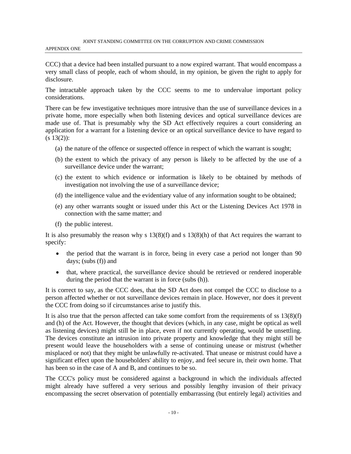CCC) that a device had been installed pursuant to a now expired warrant. That would encompass a very small class of people, each of whom should, in my opinion, be given the right to apply for disclosure.

The intractable approach taken by the CCC seems to me to undervalue important policy considerations.

There can be few investigative techniques more intrusive than the use of surveillance devices in a private home, more especially when both listening devices and optical surveillance devices are made use of. That is presumably why the SD Act effectively requires a court considering an application for a warrant for a listening device or an optical surveillance device to have regard to  $(s 13(2))$ :

- (a) the nature of the offence or suspected offence in respect of which the warrant is sought;
- (b) the extent to which the privacy of any person is likely to be affected by the use of a surveillance device under the warrant;
- (c) the extent to which evidence or information is likely to be obtained by methods of investigation not involving the use of a surveillance device;
- (d) the intelligence value and the evidentiary value of any information sought to be obtained;
- (e) any other warrants sought or issued under this Act or the Listening Devices Act 1978 in connection with the same matter; and
- (f) the public interest.

It is also presumably the reason why s  $13(8)(f)$  and s  $13(8)(h)$  of that Act requires the warrant to specify:

- the period that the warrant is in force, being in every case a period not longer than 90 days; (subs (f)) and
- that, where practical, the surveillance device should be retrieved or rendered inoperable during the period that the warrant is in force (subs (h)).

It is correct to say, as the CCC does, that the SD Act does not compel the CCC to disclose to a person affected whether or not surveillance devices remain in place. However, nor does it prevent the CCC from doing so if circumstances arise to justify this.

It is also true that the person affected can take some comfort from the requirements of ss  $13(8)(f)$ and (h) of the Act. However, the thought that devices (which, in any case, might be optical as well as listening devices) might still be in place, even if not currently operating, would be unsettling. The devices constitute an intrusion into private property and knowledge that they might still be present would leave the householders with a sense of continuing unease or mistrust (whether misplaced or not) that they might be unlawfully re-activated. That unease or mistrust could have a significant effect upon the householders' ability to enjoy, and feel secure in, their own home. That has been so in the case of A and B, and continues to be so.

The CCC's policy must be considered against a background in which the individuals affected might already have suffered a very serious and possibly lengthy invasion of their privacy encompassing the secret observation of potentially embarrassing (but entirely legal) activities and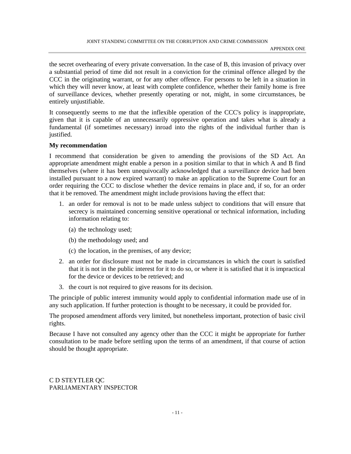the secret overhearing of every private conversation. In the case of B, this invasion of privacy over a substantial period of time did not result in a conviction for the criminal offence alleged by the CCC in the originating warrant, or for any other offence. For persons to be left in a situation in which they will never know, at least with complete confidence, whether their family home is free of surveillance devices, whether presently operating or not, might, in some circumstances, be entirely unjustifiable.

It consequently seems to me that the inflexible operation of the CCC's policy is inappropriate, given that it is capable of an unnecessarily oppressive operation and takes what is already a fundamental (if sometimes necessary) inroad into the rights of the individual further than is justified.

#### **My recommendation**

I recommend that consideration be given to amending the provisions of the SD Act. An appropriate amendment might enable a person in a position similar to that in which A and B find themselves (where it has been unequivocally acknowledged that a surveillance device had been installed pursuant to a now expired warrant) to make an application to the Supreme Court for an order requiring the CCC to disclose whether the device remains in place and, if so, for an order that it be removed. The amendment might include provisions having the effect that:

- 1. an order for removal is not to be made unless subject to conditions that will ensure that secrecy is maintained concerning sensitive operational or technical information, including information relating to:
	- (a) the technology used;
	- (b) the methodology used; and
	- (c) the location, in the premises, of any device;
- 2. an order for disclosure must not be made in circumstances in which the court is satisfied that it is not in the public interest for it to do so, or where it is satisfied that it is impractical for the device or devices to be retrieved; and
- 3. the court is not required to give reasons for its decision.

The principle of public interest immunity would apply to confidential information made use of in any such application. If further protection is thought to be necessary, it could be provided for.

The proposed amendment affords very limited, but nonetheless important, protection of basic civil rights.

Because I have not consulted any agency other than the CCC it might be appropriate for further consultation to be made before settling upon the terms of an amendment, if that course of action should be thought appropriate.

C D STEYTLER QC PARLIAMENTARY INSPECTOR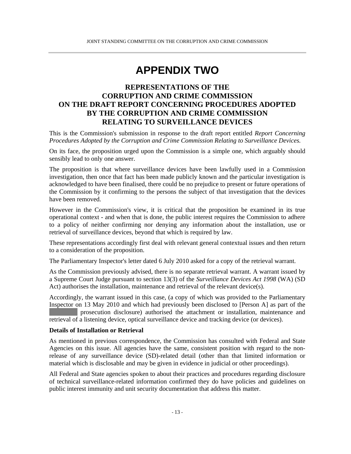## **APPENDIX TWO**

### **REPRESENTATIONS OF THE CORRUPTION AND CRIME COMMISSION ON THE DRAFT REPORT CONCERNING PROCEDURES ADOPTED BY THE CORRUPTION AND CRIME COMMISSION RELATING TO SURVEILLANCE DEVICES**

This is the Commission's submission in response to the draft report entitled *Report Concerning Procedures Adopted by the Corruption and Crime Commission Relating to Surveillance Devices.* 

On its face, the proposition urged upon the Commission is a simple one, which arguably should sensibly lead to only one answer.

The proposition is that where surveillance devices have been lawfully used in a Commission investigation, then once that fact has been made publicly known and the particular investigation is acknowledged to have been finalised, there could be no prejudice to present or future operations of the Commission by it confirming to the persons the subject of that investigation that the devices have been removed.

However in the Commission's view, it is critical that the proposition be examined in its true operational context - and when that is done, the public interest requires the Commission to adhere to a policy of neither confirming nor denying any information about the installation, use or retrieval of surveillance devices, beyond that which is required by law.

These representations accordingly first deal with relevant general contextual issues and then return to a consideration of the proposition.

The Parliamentary Inspector's letter dated 6 July 2010 asked for a copy of the retrieval warrant.

As the Commission previously advised, there is no separate retrieval warrant. A warrant issued by a Supreme Court Judge pursuant to section 13(3) of the *Surveillance Devices Act 1998* (WA) (SD Act) authorises the installation, maintenance and retrieval of the relevant device(s).

Accordingly, the warrant issued in this case, (a copy of which was provided to the Parliamentary Inspector on 13 May 2010 and which had previously been disclosed to [Person A] as part of the prosecution disclosure) authorised the attachment or installation, maintenance and retrieval of a listening device, optical surveillance device and tracking device (or devices).

#### **Details of Installation or Retrieval**

As mentioned in previous correspondence, the Commission has consulted with Federal and State Agencies on this issue. All agencies have the same, consistent position with regard to the nonrelease of any surveillance device (SD)-related detail (other than that limited information or material which is disclosable and may be given in evidence in judicial or other proceedings).

All Federal and State agencies spoken to about their practices and procedures regarding disclosure of technical surveillance-related information confirmed they do have policies and guidelines on public interest immunity and unit security documentation that address this matter.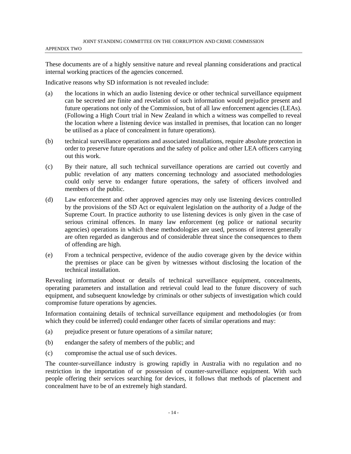These documents are of a highly sensitive nature and reveal planning considerations and practical internal working practices of the agencies concerned.

Indicative reasons why SD information is not revealed include:

- (a) the locations in which an audio listening device or other technical surveillance equipment can be secreted are finite and revelation of such information would prejudice present and future operations not only of the Commission, but of all law enforcement agencies (LEAs). (Following a High Court trial in New Zealand in which a witness was compelled to reveal the location where a listening device was installed in premises, that location can no longer be utilised as a place of concealment in future operations).
- (b) technical surveillance operations and associated installations, require absolute protection in order to preserve future operations and the safety of police and other LEA officers carrying out this work.
- (c) By their nature, all such technical surveillance operations are carried out covertly and public revelation of any matters concerning technology and associated methodologies could only serve to endanger future operations, the safety of officers involved and members of the public.
- (d) Law enforcement and other approved agencies may only use listening devices controlled by the provisions of the SD Act or equivalent legislation on the authority of a Judge of the Supreme Court. In practice authority to use listening devices is only given in the case of serious criminal offences. In many law enforcement (eg police or national security agencies) operations in which these methodologies are used, persons of interest generally are often regarded as dangerous and of considerable threat since the consequences to them of offending are high.
- (e) From a technical perspective, evidence of the audio coverage given by the device within the premises or place can be given by witnesses without disclosing the location of the technical installation.

Revealing information about or details of technical surveillance equipment, concealments, operating parameters and installation and retrieval could lead to the future discovery of such equipment, and subsequent knowledge by criminals or other subjects of investigation which could compromise future operations by agencies.

Information containing details of technical surveillance equipment and methodologies (or from which they could be inferred) could endanger other facets of similar operations and may:

- (a) prejudice present or future operations of a similar nature;
- (b) endanger the safety of members of the public; and
- (c) compromise the actual use of such devices.

The counter-surveillance industry is growing rapidly in Australia with no regulation and no restriction in the importation of or possession of counter-surveillance equipment. With such people offering their services searching for devices, it follows that methods of placement and concealment have to be of an extremely high standard.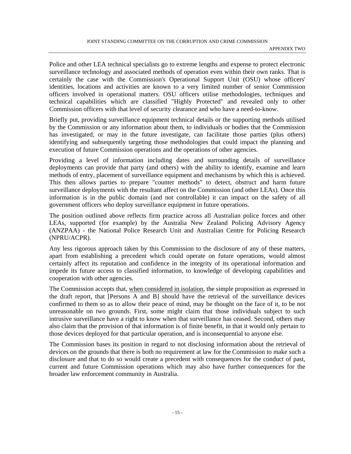Police and other LEA technical specialists go to extreme lengths and expense to protect electronic surveillance technology and associated methods of operation even within their own ranks. That is certainly the case with the Commission's Operational Support Unit (OSU) whose officers' identities, locations and activities are known to a very limited number of senior Commission officers involved in operational matters. OSU officers utilise methodologies, techniques and technical capabilities which are classified "Highly Protected" and revealed only to other Commission officers with that level of security clearance and who have a need-to-know.

Briefly put, providing surveillance equipment technical details or the supporting methods utilised by the Commission or any information about them, to individuals or bodies that the Commission has investigated, or may in the future investigate, can facilitate those parties (plus others) identifying and subsequently targeting those methodologies that could impact the planning and execution of future Commission operations and the operations of other agencies.

Providing a level of information including dates and surrounding details of surveillance deployments can provide that party (and others) with the ability to identify, examine and learn methods of entry, placement of surveillance equipment and mechanisms by which this is achieved. This then allows parties to prepare "counter methods" to detect, obstruct and harm future surveillance deployments with the resultant affect on the Commission (and other LEAs). Once this information is in the public domain (and not controllable) it can impact on the safety of all government officers who deploy surveillance equipment in future operations.

The position outlined above reflects firm practice across all Australian police forces and other LEAs, supported (for example) by the Australia New Zealand Policing Advisory Agency (ANZPAA) - the National Police Research Unit and Australian Centre for Policing Research (NPRU/ACPR).

Any less rigorous approach taken by this Commission to the disclosure of any of these matters, apart from establishing a precedent which could operate on future operations, would almost certainly affect its reputation and confidence in the integrity of its operational information and impede its future access to classified information, to knowledge of developing capabilities and cooperation with other agencies.

The Commission accepts that, when considered in isolation, the simple proposition as expressed in the draft report, that [Persons A and B] should have the retrieval of the surveillance devices confirmed to them so as to allow their peace of mind, may be thought on the face of it, to be not unreasonable on two grounds. First, some might claim that those individuals subject to such intrusive surveillance have a right to know when that surveillance has ceased. Second, others may also claim that the provision of that information is of finite benefit, in that it would only pertain to those devices deployed for that particular operation, and is inconsequential to anyone else.

The Commission bases its position in regard to not disclosing information about the retrieval of devices on the grounds that there is both no requirement at law for the Commission to make such a disclosure and that to do so would create a precedent with consequences for the conduct of past, current and future Commission operations which may also have further consequences for the broader law enforcement community in Australia.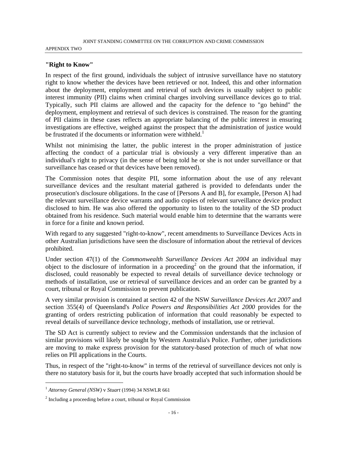#### APPENDIX TWO

#### **"Right to Know"**

In respect of the first ground, individuals the subject of intrusive surveillance have no statutory right to know whether the devices have been retrieved or not. Indeed, this and other information about the deployment, employment and retrieval of such devices is usually subject to public interest immunity (PII) claims when criminal charges involving surveillance devices go to trial. Typically, such PII claims are allowed and the capacity for the defence to "go behind" the deployment, employment and retrieval of such devices is constrained. The reason for the granting of PII claims in these cases reflects an appropriate balancing of the public interest in ensuring investigations are effective, weighed against the prospect that the administration of justice would be frustrated if the documents or information were withheld.<sup>1</sup>

Whilst not minimising the latter, the public interest in the proper administration of justice affecting the conduct of a particular trial is obviously a very different imperative than an individual's right to privacy (in the sense of being told he or she is not under surveillance or that surveillance has ceased or that devices have been removed).

The Commission notes that despite PII, some information about the use of any relevant surveillance devices and the resultant material gathered is provided to defendants under the prosecution's disclosure obligations. In the case of [Persons A and B], for example, [Person A] had the relevant surveillance device warrants and audio copies of relevant surveillance device product disclosed to him. He was also offered the opportunity to listen to the totality of the SD product obtained from his residence. Such material would enable him to determine that the warrants were in force for a finite and known period.

With regard to any suggested "right-to-know", recent amendments to Surveillance Devices Acts in other Australian jurisdictions have seen the disclosure of information about the retrieval of devices prohibited.

Under section 47(1) of the *Commonwealth Surveillance Devices Act 2004* an individual may object to the disclosure of information in a proceeding<sup>2</sup> on the ground that the information, if disclosed, could reasonably be expected to reveal details of surveillance device technology or methods of installation, use or retrieval of surveillance devices and an order can be granted by a court, tribunal or Royal Commission to prevent publication.

A very similar provision is contained at section 42 of the NSW *Surveillance Devices Act 2007* and section 355(4) of Queensland's *Police Powers and Responsibilities Act 2000* provides for the granting of orders restricting publication of information that could reasonably be expected to reveal details of surveillance device technology, methods of installation, use or retrieval.

The SD Act is currently subject to review and the Commission understands that the inclusion of similar provisions will likely be sought by Western Australia's Police. Further, other jurisdictions are moving to make express provision for the statutory-based protection of much of what now relies on PII applications in the Courts.

Thus, in respect of the "right-to-know" in terms of the retrieval of surveillance devices not only is there no statutory basis for it, but the courts have broadly accepted that such information should be

 $\overline{a}$ 

<sup>1</sup> *Attorney General (NSW)* v *Stuart* (1994) 34 NSWLR 661

 $2$  Including a proceeding before a court, tribunal or Royal Commission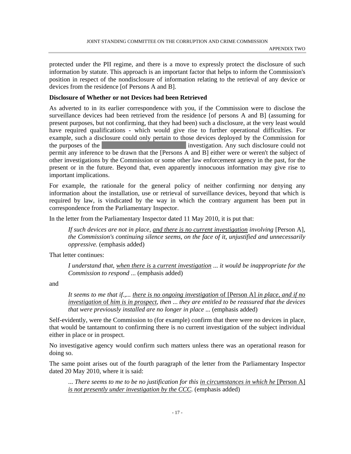protected under the PII regime, and there is a move to expressly protect the disclosure of such information by statute. This approach is an important factor that helps to inform the Commission's position in respect of the nondisclosure of information relating to the retrieval of any device or devices from the residence [of Persons A and B].

#### **Disclosure of Whether or not Devices had been Retrieved**

As adverted to in its earlier correspondence with you, if the Commission were to disclose the surveillance devices had been retrieved from the residence [of persons A and B] (assuming for present purposes, but not confirming, that they had been) such a disclosure, at the very least would have required qualifications - which would give rise to further operational difficulties. For example, such a disclosure could only pertain to those devices deployed by the Commission for the purposes of the XXXXXXXXXXXXXXXXXX investigation. Any such disclosure could not permit any inference to be drawn that the [Persons A and B] either were or weren't the subject of other investigations by the Commission or some other law enforcement agency in the past, for the present or in the future. Beyond that, even apparently innocuous information may give rise to important implications.

For example, the rationale for the general policy of neither confirming nor denying any information about the installation, use or retrieval of surveillance devices, beyond that which is required by law, is vindicated by the way in which the contrary argument has been put in correspondence from the Parliamentary Inspector.

In the letter from the Parliamentary Inspector dated 11 May 2010, it is put that:

If such devices are not in place, and there is no current investigation involving [Person A], *the Commission's continuing silence seems, on the face of it, unjustified and unnecessarily oppressive.* (emphasis added)

That letter continues:

*I understand that, when there is* a *current investigation* ... *it would be inappropriate for the Commission to respond* ... (emphasis added)

and

*It seems to me that if.,... there is no ongoing investigation* of [Person A] *in place, and if no investigation* of *him is in prospect, then* ... *they are entitled to be reassured that the devices that were previously installed are no longer in place ... (emphasis added)* 

Self-evidently, were the Commission to (for example) confirm that there were no devices in place, that would be tantamount to confirming there is no current investigation of the subject individual either in place or in prospect.

No investigative agency would confirm such matters unless there was an operational reason for doing so.

The same point arises out of the fourth paragraph of the letter from the Parliamentary Inspector dated 20 May 2010, where it is said:

... *There seems to me to be no justification for this in circumstances in which he* [Person A] *is not presently under investigation by the CCC.* (emphasis added)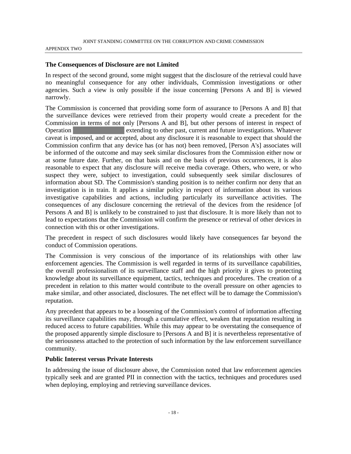#### APPENDIX TWO

#### **The Consequences of Disclosure are not Limited**

In respect of the second ground, some might suggest that the disclosure of the retrieval could have no meaningful consequence for any other individuals, Commission investigations or other agencies. Such a view is only possible if the issue concerning [Persons A and B] is viewed narrowly.

The Commission is concerned that providing some form of assurance to [Persons A and B] that the surveillance devices were retrieved from their property would create a precedent for the Commission in terms of not only [Persons A and B], but other persons of interest in respect of Operation **Operation** extending to other past, current and future investigations. Whatever caveat is imposed, and or accepted, about any disclosure it is reasonable to expect that should the Commission confirm that any device has (or has not) been removed, [Person A's] associates will be informed of the outcome and may seek similar disclosures from the Commission either now or at some future date. Further, on that basis and on the basis of previous occurrences, it is also reasonable to expect that any disclosure will receive media coverage. Others, who were, or who suspect they were, subject to investigation, could subsequently seek similar disclosures of information about SD. The Commission's standing position is to neither confirm nor deny that an investigation is in train. It applies a similar policy in respect of information about its various investigative capabilities and actions, including particularly its surveillance activities. The consequences of any disclosure concerning the retrieval of the devices from the residence [of Persons A and B] is unlikely to be constrained to just that disclosure. It is more likely than not to lead to expectations that the Commission will confirm the presence or retrieval of other devices in connection with this or other investigations.

The precedent in respect of such disclosures would likely have consequences far beyond the conduct of Commission operations.

The Commission is very conscious of the importance of its relationships with other law enforcement agencies. The Commission is well regarded in terms of its surveillance capabilities, the overall professionalism of its surveillance staff and the high priority it gives to protecting knowledge about its surveillance equipment, tactics, techniques and procedures. The creation of a precedent in relation to this matter would contribute to the overall pressure on other agencies to make similar, and other associated, disclosures. The net effect will be to damage the Commission's reputation.

Any precedent that appears to be a loosening of the Commission's control of information affecting its surveillance capabilities may, through a cumulative effect, weaken that reputation resulting in reduced access to future capabilities. While this may appear to be overstating the consequence of the proposed apparently simple disclosure to [Persons A and B] it is nevertheless representative of the seriousness attached to the protection of such information by the law enforcement surveillance community.

#### **Public Interest versus Private Interests**

In addressing the issue of disclosure above, the Commission noted that law enforcement agencies typically seek and are granted PII in connection with the tactics, techniques and procedures used when deploying, employing and retrieving surveillance devices.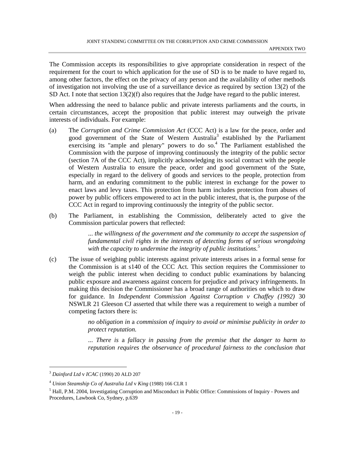The Commission accepts its responsibilities to give appropriate consideration in respect of the requirement for the court to which application for the use of SD is to be made to have regard to, among other factors, the effect on the privacy of any person and the availability of other methods of investigation not involving the use of a surveillance device as required by section 13(2) of the SD Act. I note that section 13(2)(f) also requires that the Judge have regard to the public interest.

When addressing the need to balance public and private interests parliaments and the courts, in certain circumstances, accept the proposition that public interest may outweigh the private interests of individuals. For example:

- (a) The *Corruption and Crime Commission Act* (CCC Act) is a law for the peace, order and good government of the State of Western Australia<sup>3</sup> established by the Parliament exercising its "ample and plenary" powers to do so.<sup>4</sup> The Parliament established the Commission with the purpose of improving continuously the integrity of the public sector (section 7A of the CCC Act), implicitly acknowledging its social contract with the people of Western Australia to ensure the peace, order and good government of the State, especially in regard to the delivery of goods and services to the people, protection from harm, and an enduring commitment to the public interest in exchange for the power to enact laws and levy taxes. This protection from harm includes protection from abuses of power by public officers empowered to act in the public interest, that is, the purpose of the CCC Act in regard to improving continuously the integrity of the public sector.
- (b) The Parliament, in establishing the Commission, deliberately acted to give the Commission particular powers that reflected:

... *the willingness of the government and the community to accept the suspension of fundamental civil rights in the interests of detecting forms of serious wrongdoing*  with the capacity to undermine the integrity of public institutions.<sup>5</sup>

(c) The issue of weighing public interests against private interests arises in a formal sense for the Commission is at s140 of the CCC Act. This section requires the Commissioner to weigh the public interest when deciding to conduct public examinations by balancing public exposure and awareness against concern for prejudice and privacy infringements. In making this decision the Commissioner has a broad range of authorities on which to draw for guidance. In *Independent Commission Against Corruption v Chaffey (1992)* 30 NSWLR 21 Gleeson CJ asserted that while there was a requirement to weigh a number of competing factors there is:

> *no obligation in* a *commission of inquiry to avoid or minimise publicity in order to protect reputation.*

> ... *There is* a *fallacy in passing from the premise that the danger to harm to reputation requires the observance of procedural fairness to the conclusion that*

l

<sup>3</sup> *Dainford Ltd* v *ICAC* (1990) 20 ALD 207

<sup>4</sup> *Union Steamship Co of Australia Ltd* v *King* (1988) 166 CLR 1

<sup>&</sup>lt;sup>5</sup> Hall, P.M. 2004, Investigating Corruption and Misconduct in Public Office: Commissions of Inquiry - Powers and Procedures, Lawbook Co, Sydney, p.639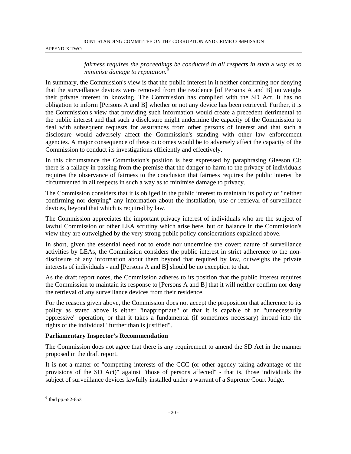#### APPENDIX TWO

*fairness requires the proceedings be conducted in all respects in such* a *way as to minimise damage to reputation.<sup>6</sup>*

In summary, the Commission's view is that the public interest in it neither confirming nor denying that the surveillance devices were removed from the residence [of Persons A and B] outweighs their private interest in knowing. The Commission has complied with the SD Act. It has no obligation to inform [Persons A and B] whether or not any device has been retrieved. Further, it is the Commission's view that providing such information would create a precedent detrimental to the public interest and that such a disclosure might undermine the capacity of the Commission to deal with subsequent requests for assurances from other persons of interest and that such a disclosure would adversely affect the Commission's standing with other law enforcement agencies. A major consequence of these outcomes would be to adversely affect the capacity of the Commission to conduct its investigations efficiently and effectively.

In this circumstance the Commission's position is best expressed by paraphrasing Gleeson CJ: there is a fallacy in passing from the premise that the danger to harm to the privacy of individuals requires the observance of fairness to the conclusion that fairness requires the public interest be circumvented in all respects in such a way as to minimise damage to privacy.

The Commission considers that it is obliged in the public interest to maintain its policy of "neither confirming nor denying" any information about the installation, use or retrieval of surveillance devices, beyond that which is required by law.

The Commission appreciates the important privacy interest of individuals who are the subject of lawful Commission or other LEA scrutiny which arise here, but on balance in the Commission's view they are outweighed by the very strong public policy considerations explained above.

In short, given the essential need not to erode nor undermine the covert nature of surveillance activities by LEAs, the Commission considers the public interest in strict adherence to the nondisclosure of any information about them beyond that required by law, outweighs the private interests of individuals - and [Persons A and B] should be no exception to that.

As the draft report notes, the Commission adheres to its position that the public interest requires the Commission to maintain its response to [Persons A and B] that it will neither confirm nor deny the retrieval of any surveillance devices from their residence.

For the reasons given above, the Commission does not accept the proposition that adherence to its policy as stated above is either "inappropriate" or that it is capable of an "unnecessarily oppressive" operation, or that it takes a fundamental (if sometimes necessary) inroad into the rights of the individual "further than is justified".

#### **Parliamentary Inspector's Recommendation**

The Commission does not agree that there is any requirement to amend the SD Act in the manner proposed in the draft report.

It is not a matter of "competing interests of the CCC (or other agency taking advantage of the provisions of the SD Act)" against "those of persons affected" - that is, those individuals the subject of surveillance devices lawfully installed under a warrant of a Supreme Court Judge.

l

 $6$  Ibid pp.652-653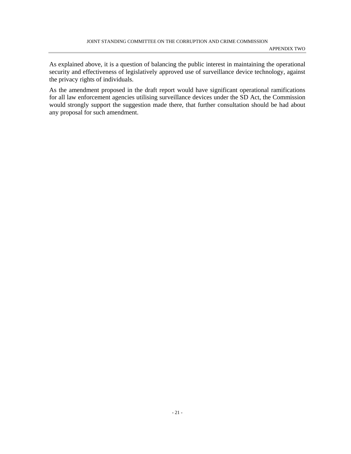As explained above, it is a question of balancing the public interest in maintaining the operational security and effectiveness of legislatively approved use of surveillance device technology, against the privacy rights of individuals.

As the amendment proposed in the draft report would have significant operational ramifications for all law enforcement agencies utilising surveillance devices under the SD Act, the Commission would strongly support the suggestion made there, that further consultation should be had about any proposal for such amendment.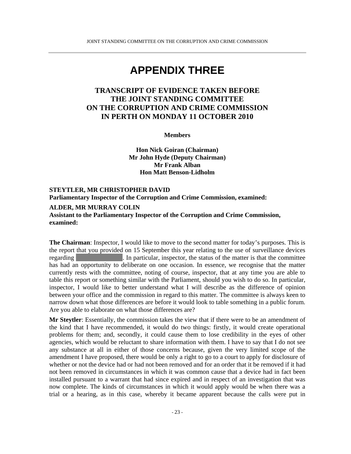### **APPENDIX THREE**

### **TRANSCRIPT OF EVIDENCE TAKEN BEFORE THE JOINT STANDING COMMITTEE ON THE CORRUPTION AND CRIME COMMISSION IN PERTH ON MONDAY 11 OCTOBER 2010**

**Members** 

**Hon Nick Goiran (Chairman) Mr John Hyde (Deputy Chairman) Mr Frank Alban Hon Matt Benson-Lidholm** 

#### **STEYTLER, MR CHRISTOPHER DAVID Parliamentary Inspector of the Corruption and Crime Commission, examined:**

#### **ALDER, MR MURRAY COLIN**

**Assistant to the Parliamentary Inspector of the Corruption and Crime Commission, examined:**

**The Chairman**: Inspector, I would like to move to the second matter for today's purposes. This is the report that you provided on 15 September this year relating to the use of surveillance devices regarding The XXX. In particular, inspector, the status of the matter is that the committee has had an opportunity to deliberate on one occasion. In essence, we recognise that the matter currently rests with the committee, noting of course, inspector, that at any time you are able to table this report or something similar with the Parliament, should you wish to do so. In particular, inspector, I would like to better understand what I will describe as the difference of opinion between your office and the commission in regard to this matter. The committee is always keen to narrow down what those differences are before it would look to table something in a public forum. Are you able to elaborate on what those differences are?

**Mr Steytler**: Essentially, the commission takes the view that if there were to be an amendment of the kind that I have recommended, it would do two things: firstly, it would create operational problems for them; and, secondly, it could cause them to lose credibility in the eyes of other agencies, which would be reluctant to share information with them. I have to say that I do not see any substance at all in either of those concerns because, given the very limited scope of the amendment I have proposed, there would be only a right to go to a court to apply for disclosure of whether or not the device had or had not been removed and for an order that it be removed if it had not been removed in circumstances in which it was common cause that a device had in fact been installed pursuant to a warrant that had since expired and in respect of an investigation that was now complete. The kinds of circumstances in which it would apply would be when there was a trial or a hearing, as in this case, whereby it became apparent because the calls were put in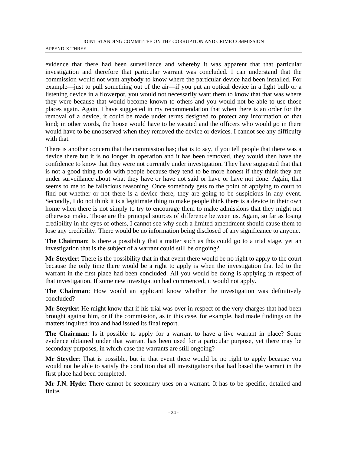#### JOINT STANDING COMMITTEE ON THE CORRUPTION AND CRIME COMMISSION APPENDIX THREE

evidence that there had been surveillance and whereby it was apparent that that particular investigation and therefore that particular warrant was concluded. I can understand that the commission would not want anybody to know where the particular device had been installed. For example—just to pull something out of the air—if you put an optical device in a light bulb or a listening device in a flowerpot, you would not necessarily want them to know that that was where they were because that would become known to others and you would not be able to use those places again. Again, I have suggested in my recommendation that when there is an order for the removal of a device, it could be made under terms designed to protect any information of that kind; in other words, the house would have to be vacated and the officers who would go in there would have to be unobserved when they removed the device or devices. I cannot see any difficulty with that.

There is another concern that the commission has; that is to say, if you tell people that there was a device there but it is no longer in operation and it has been removed, they would then have the confidence to know that they were not currently under investigation. They have suggested that that is not a good thing to do with people because they tend to be more honest if they think they are under surveillance about what they have or have not said or have or have not done. Again, that seems to me to be fallacious reasoning. Once somebody gets to the point of applying to court to find out whether or not there is a device there, they are going to be suspicious in any event. Secondly, I do not think it is a legitimate thing to make people think there is a device in their own home when there is not simply to try to encourage them to make admissions that they might not otherwise make. Those are the principal sources of difference between us. Again, so far as losing credibility in the eyes of others, I cannot see why such a limited amendment should cause them to lose any credibility. There would be no information being disclosed of any significance to anyone.

**The Chairman**: Is there a possibility that a matter such as this could go to a trial stage, yet an investigation that is the subject of a warrant could still be ongoing?

**Mr Steytler**: There is the possibility that in that event there would be no right to apply to the court because the only time there would be a right to apply is when the investigation that led to the warrant in the first place had been concluded. All you would be doing is applying in respect of that investigation. If some new investigation had commenced, it would not apply.

**The Chairman**: How would an applicant know whether the investigation was definitively concluded?

**Mr Steytler**: He might know that if his trial was over in respect of the very charges that had been brought against him, or if the commission, as in this case, for example, had made findings on the matters inquired into and had issued its final report.

**The Chairman**: Is it possible to apply for a warrant to have a live warrant in place? Some evidence obtained under that warrant has been used for a particular purpose, yet there may be secondary purposes, in which case the warrants are still ongoing?

**Mr Steytler**: That is possible, but in that event there would be no right to apply because you would not be able to satisfy the condition that all investigations that had based the warrant in the first place had been completed.

**Mr J.N. Hyde**: There cannot be secondary uses on a warrant. It has to be specific, detailed and finite.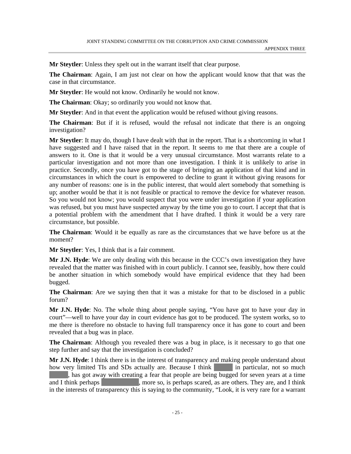**Mr Steytler**: Unless they spelt out in the warrant itself that clear purpose.

**The Chairman**: Again, I am just not clear on how the applicant would know that that was the case in that circumstance.

**Mr Steytler**: He would not know. Ordinarily he would not know.

**The Chairman**: Okay; so ordinarily you would not know that.

**Mr Steytler**: And in that event the application would be refused without giving reasons.

**The Chairman**: But if it is refused, would the refusal not indicate that there is an ongoing investigation?

**Mr Steytler**: It may do, though I have dealt with that in the report. That is a shortcoming in what I have suggested and I have raised that in the report. It seems to me that there are a couple of answers to it. One is that it would be a very unusual circumstance. Most warrants relate to a particular investigation and not more than one investigation. I think it is unlikely to arise in practice. Secondly, once you have got to the stage of bringing an application of that kind and in circumstances in which the court is empowered to decline to grant it without giving reasons for any number of reasons: one is in the public interest, that would alert somebody that something is up; another would be that it is not feasible or practical to remove the device for whatever reason. So you would not know; you would suspect that you were under investigation if your application was refused, but you must have suspected anyway by the time you go to court. I accept that that is a potential problem with the amendment that I have drafted. I think it would be a very rare circumstance, but possible.

**The Chairman**: Would it be equally as rare as the circumstances that we have before us at the moment?

**Mr Steytler**: Yes, I think that is a fair comment.

**Mr J.N. Hyde**: We are only dealing with this because in the CCC's own investigation they have revealed that the matter was finished with in court publicly. I cannot see, feasibly, how there could be another situation in which somebody would have empirical evidence that they had been bugged.

**The Chairman**: Are we saying then that it was a mistake for that to be disclosed in a public forum?

**Mr J.N. Hyde**: No. The whole thing about people saying, "You have got to have your day in court"—well to have your day in court evidence has got to be produced. The system works, so to me there is therefore no obstacle to having full transparency once it has gone to court and been revealed that a bug was in place.

**The Chairman**: Although you revealed there was a bug in place, is it necessary to go that one step further and say that the investigation is concluded?

**Mr J.N. Hyde**: I think there is in the interest of transparency and making people understand about how very limited TIs and SDs actually are. Because I think  $\overline{\phantom{a}}$  in particular, not so much

If has got away with creating a fear that people are being bugged for seven years at a time and I think perhaps  $\overline{\phantom{a}}$ , more so, is perhaps scared, as are others. They are, and I think in the interests of transparency this is saying to the community, "Look, it is very rare for a warrant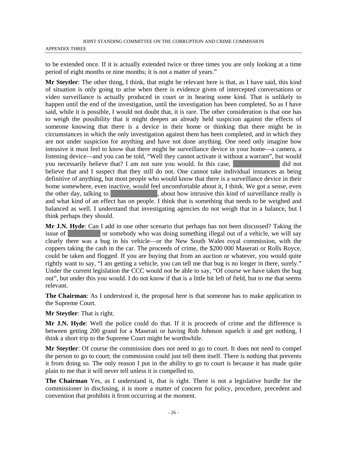to be extended once. If it is actually extended twice or three times you are only looking at a time period of eight months or nine months; it is not a matter of years."

**Mr Steytler**: The other thing, I think, that might be relevant here is that, as I have said, this kind of situation is only going to arise when there is evidence given of intercepted conversations or video surveillance is actually produced in court or in hearing some kind. That is unlikely to happen until the end of the investigation, until the investigation has been completed. So as I have said, while it is possible, I would not doubt that, it is rare. The other consideration is that one has to weigh the possibility that it might deepen an already held suspicion against the effects of someone knowing that there is a device in their home or thinking that there might be in circumstances in which the only investigation against them has been completed, and in which they are not under suspicion for anything and have not done anything. One need only imagine how intrusive it must feel to know that there might be surveillance device in your home—a camera, a listening device—and you can be told, "Well they cannot activate it without a warrant", but would you necessarily believe that? I am not sure you would. In this case, believe that and I suspect that they still do not. One cannot take individual instances as being definitive of anything, but most people who would know that there is a surveillance device in their home somewhere, even inactive, would feel uncomfortable about it, I think. We got a sense, even the other day, talking to  $\lambda$ , about how intrusive this kind of surveillance really is and what kind of an effect has on people. I think that is something that needs to be weighed and balanced as well. I understand that investigating agencies do not weigh that in a balance, but I think perhaps they should.

**Mr J.N. Hyde**: Can I add in one other scenario that perhaps has not been discussed? Taking the issue of **XXXX** or somebody who was doing something illegal out of a vehicle, we will say clearly there was a bug in his vehicle—or the New South Wales royal commission, with the coppers taking the cash in the car. The proceeds of crime, the \$200 000 Maserati or Rolls Royce, could be taken and flogged. If you are buying that from an auction or whatever, you would quite rightly want to say, "I am getting a vehicle, you can tell me that bug is no longer in there, surely." Under the current legislation the CCC would not be able to say, "Of course we have taken the bug out", but under this you would. I do not know if that is a little bit left of field, but to me that seems relevant.

**The Chairman**: As I understood it, the proposal here is that someone has to make application to the Supreme Court.

**Mr Steytler**: That is right.

**Mr J.N. Hyde**: Well the police could do that. If it is proceeds of crime and the difference is between getting 200 grand for a Maserati or having Rob Johnson squelch it and get nothing, I think a short trip to the Supreme Court might be worthwhile.

**Mr Steytler**: Of course the commission does not need to go to court. It does not need to compel the person to go to court; the commission could just tell them itself. There is nothing that prevents it from doing so. The only reason I put in the ability to go to court is because it has made quite plain to me that it will never tell unless it is compelled to.

**The Chairman** Yes, as I understand it, that is right. There is not a legislative hurdle for the commissioner in disclosing, it is more a matter of concern for policy, procedure, precedent and convention that prohibits it from occurring at the moment.